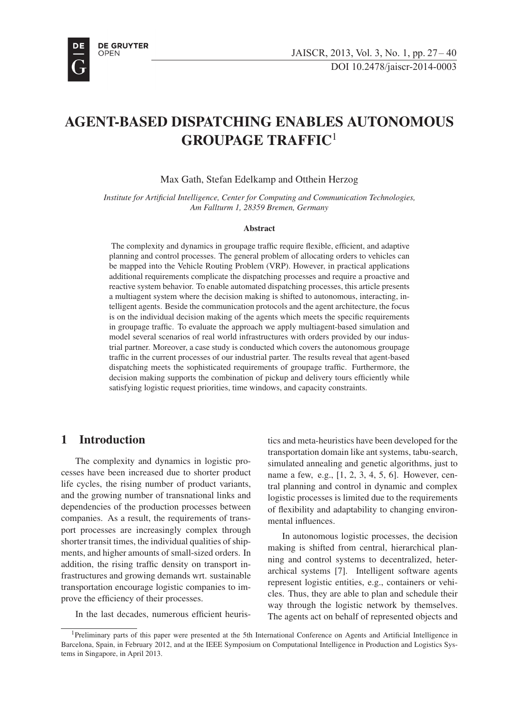

# AGENT-BASED DISPATCHING ENABLES AUTONOMOUS GROUPAGE TRAFFIC<sup>1</sup>

Max Gath, Stefan Edelkamp and Otthein Herzog

*Institute for Artificial Intelligence, Center for Computing and Communication Technologies, Am Fallturm 1, 28359 Bremen, Germany*

#### Abstract

The complexity and dynamics in groupage traffic require flexible, efficient, and adaptive planning and control processes. The general problem of allocating orders to vehicles can be mapped into the Vehicle Routing Problem (VRP). However, in practical applications additional requirements complicate the dispatching processes and require a proactive and reactive system behavior. To enable automated dispatching processes, this article presents a multiagent system where the decision making is shifted to autonomous, interacting, intelligent agents. Beside the communication protocols and the agent architecture, the focus is on the individual decision making of the agents which meets the specific requirements in groupage traffic. To evaluate the approach we apply multiagent-based simulation and model several scenarios of real world infrastructures with orders provided by our industrial partner. Moreover, a case study is conducted which covers the autonomous groupage traffic in the current processes of our industrial parter. The results reveal that agent-based dispatching meets the sophisticated requirements of groupage traffic. Furthermore, the decision making supports the combination of pickup and delivery tours efficiently while satisfying logistic request priorities, time windows, and capacity constraints.

# 1 Introduction

The complexity and dynamics in logistic processes have been increased due to shorter product life cycles, the rising number of product variants, and the growing number of transnational links and dependencies of the production processes between companies. As a result, the requirements of transport processes are increasingly complex through shorter transit times, the individual qualities of shipments, and higher amounts of small-sized orders. In addition, the rising traffic density on transport infrastructures and growing demands wrt. sustainable transportation encourage logistic companies to improve the efficiency of their processes. <sup>1</sup>

In the last decades, numerous efficient heuris-

tics and meta-heuristics have been developed for the transportation domain like ant systems, tabu-search, simulated annealing and genetic algorithms, just to name a few, e.g., [1, 2, 3, 4, 5, 6]. However, central planning and control in dynamic and complex logistic processes is limited due to the requirements of flexibility and adaptability to changing environmental influences.

In autonomous logistic processes, the decision making is shifted from central, hierarchical planning and control systems to decentralized, heterarchical systems [7]. Intelligent software agents represent logistic entities, e.g., containers or vehicles. Thus, they are able to plan and schedule their way through the logistic network by themselves. The agents act on behalf of represented objects and

<sup>&</sup>lt;sup>1</sup>Preliminary parts of this paper were presented at the 5th International Conference on Agents and Artificial Intelligence in Barcelona, Spain, in February 2012, and at the IEEE Symposium on Computational Intelligence in Production and Logistics Systems in Singapore, in April 2013.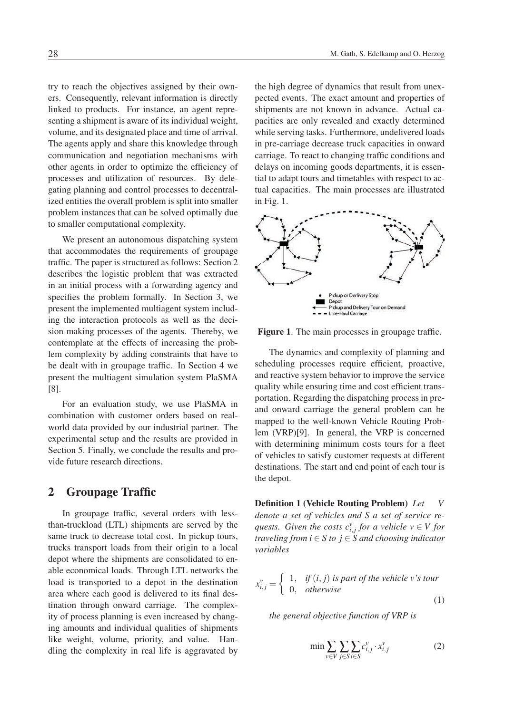try to reach the objectives assigned by their owners. Consequently, relevant information is directly linked to products. For instance, an agent representing a shipment is aware of its individual weight, volume, and its designated place and time of arrival. The agents apply and share this knowledge through communication and negotiation mechanisms with other agents in order to optimize the efficiency of processes and utilization of resources. By delegating planning and control processes to decentralized entities the overall problem is split into smaller problem instances that can be solved optimally due to smaller computational complexity.

We present an autonomous dispatching system that accommodates the requirements of groupage traffic. The paper is structured as follows: Section 2 describes the logistic problem that was extracted in an initial process with a forwarding agency and specifies the problem formally. In Section 3, we present the implemented multiagent system including the interaction protocols as well as the decision making processes of the agents. Thereby, we contemplate at the effects of increasing the problem complexity by adding constraints that have to be dealt with in groupage traffic. In Section 4 we present the multiagent simulation system PlaSMA [8].

For an evaluation study, we use PlaSMA in combination with customer orders based on realworld data provided by our industrial partner. The experimental setup and the results are provided in Section 5. Finally, we conclude the results and provide future research directions.

# 2 Groupage Traffic

In groupage traffic, several orders with lessthan-truckload (LTL) shipments are served by the same truck to decrease total cost. In pickup tours, trucks transport loads from their origin to a local depot where the shipments are consolidated to enable economical loads. Through LTL networks the load is transported to a depot in the destination area where each good is delivered to its final destination through onward carriage. The complexity of process planning is even increased by changing amounts and individual qualities of shipments like weight, volume, priority, and value. Handling the complexity in real life is aggravated by

the high degree of dynamics that result from unexpected events. The exact amount and properties of shipments are not known in advance. Actual capacities are only revealed and exactly determined while serving tasks. Furthermore, undelivered loads in pre-carriage decrease truck capacities in onward carriage. To react to changing traffic conditions and delays on incoming goods departments, it is essential to adapt tours and timetables with respect to actual capacities. The main processes are illustrated in Fig. 1.



Figure 1. The main processes in groupage traffic.

The dynamics and complexity of planning and scheduling processes require efficient, proactive, and reactive system behavior to improve the service quality while ensuring time and cost efficient transportation. Regarding the dispatching process in preand onward carriage the general problem can be mapped to the well-known Vehicle Routing Problem (VRP)[9]. In general, the VRP is concerned with determining minimum costs tours for a fleet of vehicles to satisfy customer requests at different destinations. The start and end point of each tour is the depot.

Definition 1 (Vehicle Routing Problem) *Let V denote a set of vehicles and S a set of service requests. Given the costs*  $c_{i,j}^v$  *for a vehicle*  $v \in V$  *for traveling from*  $i \in S$  *to*  $j \in \mathcal{S}$  *and choosing indicator variables*

$$
x_{i,j}^v = \begin{cases} 1, & \text{if } (i,j) \text{ is part of the vehicle } v \text{'s tour} \\ 0, & \text{otherwise} \end{cases}
$$
 (1)

*the general objective function of VRP is*

$$
\min \sum_{v \in V} \sum_{j \in S} \sum_{i \in S} c_{i,j}^v \cdot x_{i,j}^v \tag{2}
$$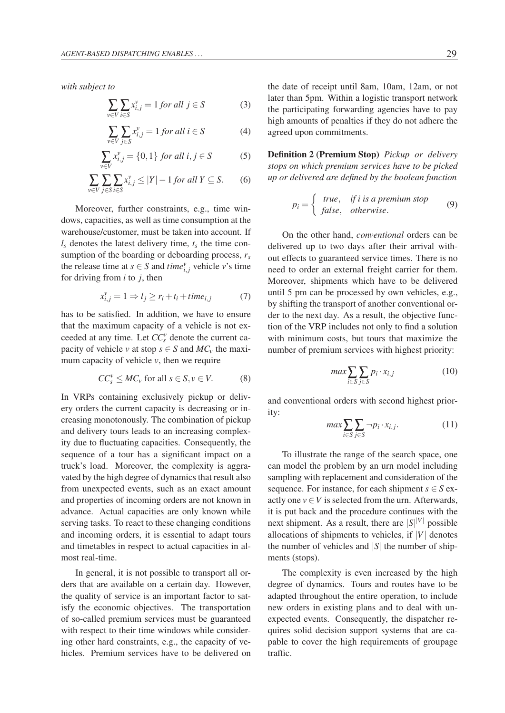*with subject to*

$$
\sum_{v \in V} \sum_{i \in S} x_{i,j}^v = 1 \text{ for all } j \in S \tag{3}
$$

$$
\sum_{v \in V} \sum_{j \in S} x_{i,j}^v = 1 \text{ for all } i \in S \tag{4}
$$

$$
\sum_{v \in V} x_{i,j}^v = \{0, 1\} \text{ for all } i, j \in S \tag{5}
$$

$$
\sum_{v \in V} \sum_{j \in S} \sum_{i \in S} x_{i,j}^v \le |Y| - 1 \text{ for all } Y \subseteq S. \tag{6}
$$

Moreover, further constraints, e.g., time windows, capacities, as well as time consumption at the warehouse/customer, must be taken into account. If  $l_s$  denotes the latest delivery time,  $t_s$  the time consumption of the boarding or deboarding process, *rs* the release time at *s*  $\in$  *S* and *time*<sup>*v*</sup><sub>*i*,*j*</sub> vehicle *v*'s time for driving from *i* to *j*, then

$$
x_{i,j}^{\nu} = 1 \Rightarrow l_j \ge r_i + t_i + time_{i,j} \tag{7}
$$

has to be satisfied. In addition, we have to ensure that the maximum capacity of a vehicle is not exceeded at any time. Let *CC<sup>v</sup> <sup>s</sup>* denote the current capacity of vehicle *v* at stop  $s \in S$  and  $MC_v$  the maximum capacity of vehicle *v*, then we require

$$
CC_s^v \leq MC_v \text{ for all } s \in S, v \in V. \tag{8}
$$

In VRPs containing exclusively pickup or delivery orders the current capacity is decreasing or increasing monotonously. The combination of pickup and delivery tours leads to an increasing complexity due to fluctuating capacities. Consequently, the sequence of a tour has a significant impact on a truck's load. Moreover, the complexity is aggravated by the high degree of dynamics that result also from unexpected events, such as an exact amount and properties of incoming orders are not known in advance. Actual capacities are only known while serving tasks. To react to these changing conditions and incoming orders, it is essential to adapt tours and timetables in respect to actual capacities in almost real-time.

In general, it is not possible to transport all orders that are available on a certain day. However, the quality of service is an important factor to satisfy the economic objectives. The transportation of so-called premium services must be guaranteed with respect to their time windows while considering other hard constraints, e.g., the capacity of vehicles. Premium services have to be delivered on

the date of receipt until 8am, 10am, 12am, or not later than 5pm. Within a logistic transport network the participating forwarding agencies have to pay high amounts of penalties if they do not adhere the agreed upon commitments.

Definition 2 (Premium Stop) *Pickup or delivery stops on which premium services have to be picked up or delivered are defined by the boolean function*

$$
p_i = \begin{cases} \text{true}, & \text{if } i \text{ is a premium stop} \\ \text{false}, & \text{otherwise.} \end{cases} \tag{9}
$$

On the other hand, *conventional* orders can be delivered up to two days after their arrival without effects to guaranteed service times. There is no need to order an external freight carrier for them. Moreover, shipments which have to be delivered until 5 pm can be processed by own vehicles, e.g., by shifting the transport of another conventional order to the next day. As a result, the objective function of the VRP includes not only to find a solution with minimum costs, but tours that maximize the number of premium services with highest priority:

$$
\max \sum_{i \in S} \sum_{j \in S} p_i \cdot x_{i,j} \tag{10}
$$

and conventional orders with second highest priority:

$$
\max \sum_{i \in S} \sum_{j \in S} \neg p_i \cdot x_{i,j}.\tag{11}
$$

To illustrate the range of the search space, one can model the problem by an urn model including sampling with replacement and consideration of the sequence. For instance, for each shipment  $s \in S$  exactly one  $v \in V$  is selected from the urn. Afterwards, it is put back and the procedure continues with the next shipment. As a result, there are  $|S|^{|V|}$  possible allocations of shipments to vehicles, if  $|V|$  denotes the number of vehicles and  $|S|$  the number of shipments (stops).

The complexity is even increased by the high degree of dynamics. Tours and routes have to be adapted throughout the entire operation, to include new orders in existing plans and to deal with unexpected events. Consequently, the dispatcher requires solid decision support systems that are capable to cover the high requirements of groupage traffic.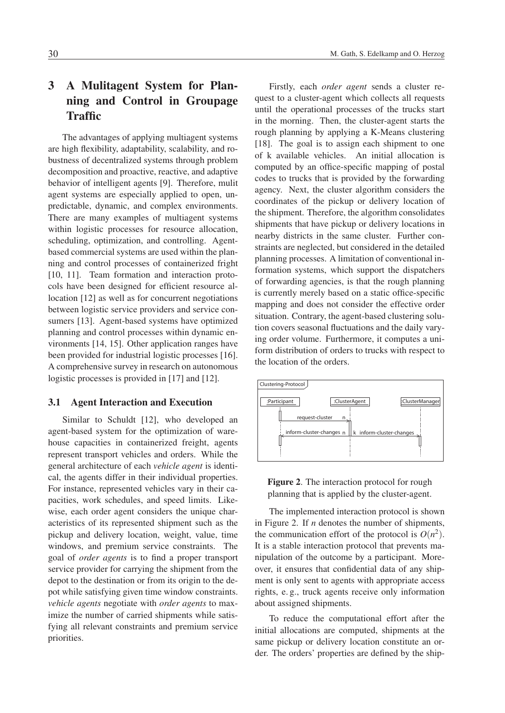# 3 A Mulitagent System for Planning and Control in Groupage Traffic

The advantages of applying multiagent systems are high flexibility, adaptability, scalability, and robustness of decentralized systems through problem decomposition and proactive, reactive, and adaptive behavior of intelligent agents [9]. Therefore, mulit agent systems are especially applied to open, unpredictable, dynamic, and complex environments. There are many examples of multiagent systems within logistic processes for resource allocation, scheduling, optimization, and controlling. Agentbased commercial systems are used within the planning and control processes of containerized fright [10, 11]. Team formation and interaction protocols have been designed for efficient resource allocation [12] as well as for concurrent negotiations between logistic service providers and service consumers [13]. Agent-based systems have optimized planning and control processes within dynamic environments [14, 15]. Other application ranges have been provided for industrial logistic processes [16]. A comprehensive survey in research on autonomous logistic processes is provided in [17] and [12].

### 3.1 Agent Interaction and Execution

Similar to Schuldt [12], who developed an agent-based system for the optimization of warehouse capacities in containerized freight, agents represent transport vehicles and orders. While the general architecture of each *vehicle agent* is identical, the agents differ in their individual properties. For instance, represented vehicles vary in their capacities, work schedules, and speed limits. Likewise, each order agent considers the unique characteristics of its represented shipment such as the pickup and delivery location, weight, value, time windows, and premium service constraints. The goal of *order agents* is to find a proper transport service provider for carrying the shipment from the depot to the destination or from its origin to the depot while satisfying given time window constraints. *vehicle agents* negotiate with *order agents* to maximize the number of carried shipments while satisfying all relevant constraints and premium service priorities.

Firstly, each *order agent* sends a cluster request to a cluster-agent which collects all requests until the operational processes of the trucks start in the morning. Then, the cluster-agent starts the rough planning by applying a K-Means clustering [18]. The goal is to assign each shipment to one of k available vehicles. An initial allocation is computed by an office-specific mapping of postal codes to trucks that is provided by the forwarding agency. Next, the cluster algorithm considers the coordinates of the pickup or delivery location of the shipment. Therefore, the algorithm consolidates shipments that have pickup or delivery locations in nearby districts in the same cluster. Further constraints are neglected, but considered in the detailed planning processes. A limitation of conventional information systems, which support the dispatchers of forwarding agencies, is that the rough planning is currently merely based on a static office-specific mapping and does not consider the effective order situation. Contrary, the agent-based clustering solution covers seasonal fluctuations and the daily varying order volume. Furthermore, it computes a uniform distribution of orders to trucks with respect to the location of the orders.





The implemented interaction protocol is shown in Figure 2. If *n* denotes the number of shipments, the communication effort of the protocol is  $O(n^2)$ . It is a stable interaction protocol that prevents manipulation of the outcome by a participant. Moreover, it ensures that confidential data of any shipment is only sent to agents with appropriate access rights, e. g., truck agents receive only information about assigned shipments.

To reduce the computational effort after the initial allocations are computed, shipments at the same pickup or delivery location constitute an order. The orders' properties are defined by the ship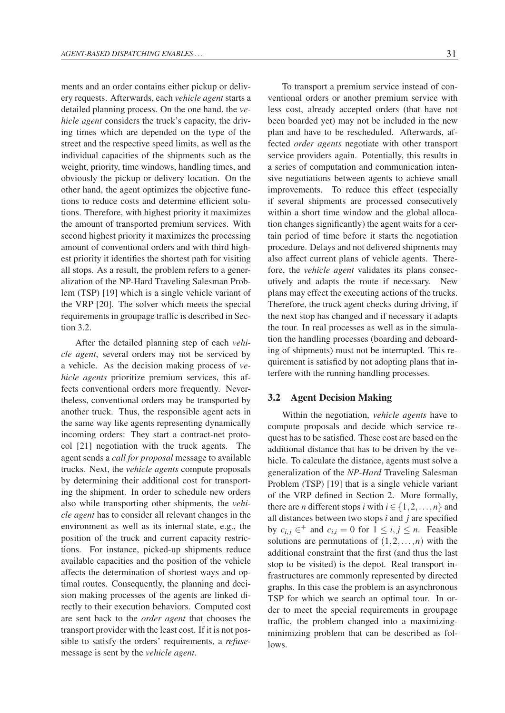ments and an order contains either pickup or delivery requests. Afterwards, each *vehicle agent* starts a detailed planning process. On the one hand, the *vehicle agent* considers the truck's capacity, the driving times which are depended on the type of the street and the respective speed limits, as well as the individual capacities of the shipments such as the weight, priority, time windows, handling times, and obviously the pickup or delivery location. On the other hand, the agent optimizes the objective functions to reduce costs and determine efficient solutions. Therefore, with highest priority it maximizes the amount of transported premium services. With second highest priority it maximizes the processing amount of conventional orders and with third highest priority it identifies the shortest path for visiting all stops. As a result, the problem refers to a generalization of the NP-Hard Traveling Salesman Problem (TSP) [19] which is a single vehicle variant of the VRP [20]. The solver which meets the special requirements in groupage traffic is described in Section 3.2.

After the detailed planning step of each *vehicle agent*, several orders may not be serviced by a vehicle. As the decision making process of *vehicle agents* prioritize premium services, this affects conventional orders more frequently. Nevertheless, conventional orders may be transported by another truck. Thus, the responsible agent acts in the same way like agents representing dynamically incoming orders: They start a contract-net protocol [21] negotiation with the truck agents. The agent sends a *call for proposal* message to available trucks. Next, the *vehicle agents* compute proposals by determining their additional cost for transporting the shipment. In order to schedule new orders also while transporting other shipments, the *vehicle agent* has to consider all relevant changes in the environment as well as its internal state, e.g., the position of the truck and current capacity restrictions. For instance, picked-up shipments reduce available capacities and the position of the vehicle affects the determination of shortest ways and optimal routes. Consequently, the planning and decision making processes of the agents are linked directly to their execution behaviors. Computed cost are sent back to the *order agent* that chooses the transport provider with the least cost. If it is not possible to satisfy the orders' requirements, a *refuse*message is sent by the *vehicle agent*.

To transport a premium service instead of conventional orders or another premium service with less cost, already accepted orders (that have not been boarded yet) may not be included in the new plan and have to be rescheduled. Afterwards, affected *order agents* negotiate with other transport service providers again. Potentially, this results in a series of computation and communication intensive negotiations between agents to achieve small improvements. To reduce this effect (especially if several shipments are processed consecutively within a short time window and the global allocation changes significantly) the agent waits for a certain period of time before it starts the negotiation procedure. Delays and not delivered shipments may also affect current plans of vehicle agents. Therefore, the *vehicle agent* validates its plans consecutively and adapts the route if necessary. New plans may effect the executing actions of the trucks. Therefore, the truck agent checks during driving, if the next stop has changed and if necessary it adapts the tour. In real processes as well as in the simulation the handling processes (boarding and deboarding of shipments) must not be interrupted. This requirement is satisfied by not adopting plans that interfere with the running handling processes.

#### 3.2 Agent Decision Making

Within the negotiation, *vehicle agents* have to compute proposals and decide which service request has to be satisfied. These cost are based on the additional distance that has to be driven by the vehicle. To calculate the distance, agents must solve a generalization of the *NP-Hard* Traveling Salesman Problem (TSP) [19] that is a single vehicle variant of the VRP defined in Section 2. More formally, there are *n* different stops *i* with  $i \in \{1, 2, ..., n\}$  and all distances between two stops *i* and *j* are specified by  $c_{i,j} \in$ <sup>+</sup> and  $c_{i,i} = 0$  for  $1 \le i, j \le n$ . Feasible solutions are permutations of  $(1,2,\ldots,n)$  with the additional constraint that the first (and thus the last stop to be visited) is the depot. Real transport infrastructures are commonly represented by directed graphs. In this case the problem is an asynchronous TSP for which we search an optimal tour. In order to meet the special requirements in groupage traffic, the problem changed into a maximizingminimizing problem that can be described as follows.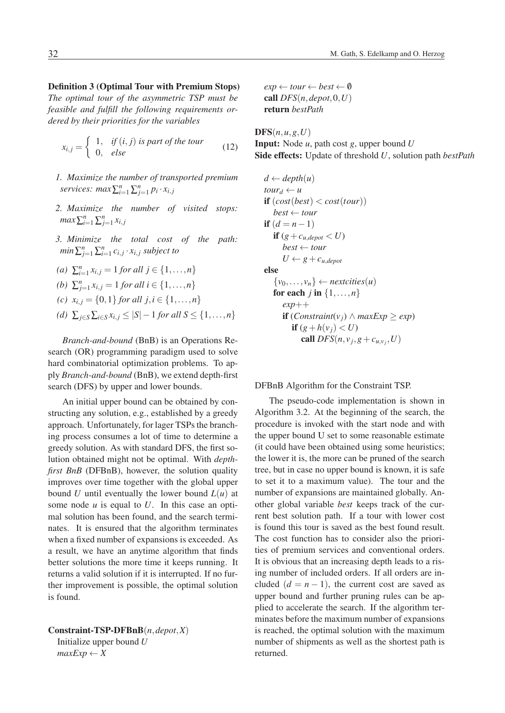Definition 3 (Optimal Tour with Premium Stops) *The optimal tour of the asymmetric TSP must be feasible and fulfill the following requirements ordered by their priorities for the variables*

$$
x_{i,j} = \begin{cases} 1, & \text{if } (i,j) \text{ is part of the tour} \\ 0, & \text{else} \end{cases}
$$
 (12)

- *1. Maximize the number of transported premium services:*  $max\sum_{i=1}^{n}\sum_{j=1}^{n}p_i \cdot x_{i,j}$
- *2. Maximize the number of visited stops: max*  $\sum_{i=1}^{n} \sum_{j=1}^{n} x_{i,j}$
- *3. Minimize the total cost of the path:*  $min \sum_{j=1}^{n} \sum_{i=1}^{n} c_{i,j} \cdot x_{i,j}$  *subject to*

(a) 
$$
\sum_{i=1}^{n} x_{i,j} = 1
$$
 for all  $j \in \{1, ..., n\}$   
(b)  $\sum_{j=1}^{n} x_{i,j} = 1$  for all  $i \in \{1, ..., n\}$ 

(c) 
$$
x_{i,j} = \{0,1\}
$$
 for all  $j, i \in \{1,...,n\}$ 

*(d)*  $\sum_{j \in S} \sum_{i \in S} x_{i,j} \le |S| - 1$  *for all*  $S \le \{1, ..., n\}$ 

*Branch-and-bound* (BnB) is an Operations Research (OR) programming paradigm used to solve hard combinatorial optimization problems. To apply *Branch-and-bound* (BnB), we extend depth-first search (DFS) by upper and lower bounds.

An initial upper bound can be obtained by constructing any solution, e.g., established by a greedy approach. Unfortunately, for lager TSPs the branching process consumes a lot of time to determine a greedy solution. As with standard DFS, the first solution obtained might not be optimal. With *depthfirst BnB* (DFBnB), however, the solution quality improves over time together with the global upper bound *U* until eventually the lower bound  $L(u)$  at some node *u* is equal to *U*. In this case an optimal solution has been found, and the search terminates. It is ensured that the algorithm terminates when a fixed number of expansions is exceeded. As a result, we have an anytime algorithm that finds better solutions the more time it keeps running. It returns a valid solution if it is interrupted. If no further improvement is possible, the optimal solution is found.

Constraint-TSP-DFBnB(*n*,*depot*,*X*) Initialize upper bound *U*  $maxExp \leftarrow X$ 

 $exp \leftarrow tour \leftarrow best \leftarrow \emptyset$ call  $DFS(n, \text{depot}, 0, U)$ return *bestPath*

 $$ 

Input: Node *u*, path cost *g*, upper bound *U* Side effects: Update of threshold *U*, solution path *bestPath*

$$
d \leftarrow depth(u)
$$
  
\n
$$
tour_d \leftarrow u
$$
  
\n
$$
\text{if } (cost(best) < cost(tour))
$$
  
\n
$$
best \leftarrow tour
$$
  
\n
$$
\text{if } (d = n - 1)
$$
  
\n
$$
\text{if } (g + c_{u, depot} < U)
$$
  
\n
$$
best \leftarrow tour
$$
  
\n
$$
U \leftarrow g + c_{u, depot}
$$
  
\n
$$
\text{else}
$$
  
\n
$$
\{v_0, \ldots, v_n\} \leftarrow nextcities(u)
$$
  
\n
$$
\text{for each } j \text{ in } \{1, \ldots, n\}
$$
  
\n
$$
exp++
$$
  
\n
$$
\text{if } (Constraint(v_j) \land maxExp \geq exp)
$$
  
\n
$$
\text{if } (g + h(v_j) < U)
$$
  
\n
$$
\text{call } DFS(n, v_j, g + c_{u, v_j}, U)
$$

#### DFBnB Algorithm for the Constraint TSP.

The pseudo-code implementation is shown in Algorithm 3.2. At the beginning of the search, the procedure is invoked with the start node and with the upper bound U set to some reasonable estimate (it could have been obtained using some heuristics; the lower it is, the more can be pruned of the search tree, but in case no upper bound is known, it is safe to set it to a maximum value). The tour and the number of expansions are maintained globally. Another global variable *best* keeps track of the current best solution path. If a tour with lower cost is found this tour is saved as the best found result. The cost function has to consider also the priorities of premium services and conventional orders. It is obvious that an increasing depth leads to a rising number of included orders. If all orders are included  $(d = n - 1)$ , the current cost are saved as upper bound and further pruning rules can be applied to accelerate the search. If the algorithm terminates before the maximum number of expansions is reached, the optimal solution with the maximum number of shipments as well as the shortest path is returned.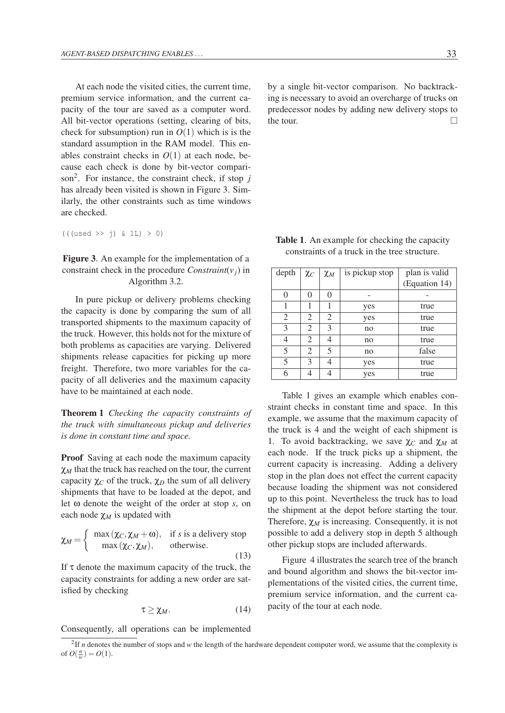At each node the visited cities, the current time, premium service information, and the current capacity of the tour are saved as a computer word. All bit-vector operations (setting, clearing of bits, check for subsumption) run in  $O(1)$  which is is the standard assumption in the RAM model. This enables constraint checks in  $O(1)$  at each node, because each check is done by bit-vector comparison<sup>2</sup>. For instance, the constraint check, if stop  $j$  $\frac{1}{2}$  of  $\frac{1}{2}$  is the constraint check, if  $\frac{1}{2}$  is  $\frac{1}{2}$  is  $\frac{1}{2}$  instance, if  $\frac{1}{2}$  is  $\frac{1}{2}$  in ilarly, the other constraints such as time windows are checked.  $\epsilon$  is the other constraints such as time windows. are checked.

(((used >> j) & 1L) > 0) (((used >> j) & 1L) > 0)

Figure 3. An example for the implementation of a Figure 3. An example for the implementation of a constraint check in the procedure *Constraint*( $v_j$ ) in Algorithm 3.2. Algorithm 3.2.

In pure pickup or delivery problems checking In pure pickup or delivery problems checking the capacity is done by comparing the sum of all the capacity is done by comparing the sum of all transported shipments to the maximum capacity of transported shipments to the maximum capacity of the truck. However, this holds not for the mixture of both problems as capacities are varying. Delivered both problems as capacities are varying. Delivered shipments release capacities for picking up more shipments release capacities for picking up more freight. Therefore, two more variables for the ca-freight. Therefore, two more variables for the capacity of all deliveries and the maximum capacity pacity of all deliveries and the maximum capacity have to be maintained at each node. have to be maintained at each node.

Theorem 1 *Checking the capacity constraints of* Theorem 1 *Checking the capacity constraints of the truck with simultaneous pickup and deliveries the truck with simultaneous pickup and deliveries is done in constant time and space. is done in constant time and space.*

Proof Saving at each node the maximum capacity Proof Saving at each node the maximum capacity *χ<sub>M</sub>* that the truck has reached on the tour, the current capacity  $\chi_C$  of the truck,  $\chi_D$  the sum of all delivery shipments that have to be loaded at the depot, and let ω denote the weight of the order at stop *s*, on each node  $\chi_M$  is updated with *M* Saving at each none the maximum eapacity  $\chi_{\text{UV}}$  +  $\sim$   $\sim$   $\mu$  since  $\omega$  stopped stopped stopped stopped stopped stopped stopped stopped stopped stopped stopped stopped stopped stopped stopped stopped stopped stopped stopped stopped stopped stopped stoppe

$$
\chi_M = \begin{cases} \max(\chi_C, \chi_M + \omega), & \text{if } s \text{ is a delivery stop} \\ \max(\chi_C, \chi_M), & \text{otherwise.} \end{cases}
$$
(13)

If  $\tau$  denote the maximum capacity of the truck, the capacity constraints for adding a new order are satisfied by checking

$$
\tau \ge \chi_M. \tag{14}
$$

Consequently, all operations can be implemented

by a single bit-vector comparison. No backtracking is necessary to avoid an overcharge of trucks on predecessor nodes by adding new delivery stops to the tour.

| <b>Table 1.</b> An example for checking the capacity |  |
|------------------------------------------------------|--|
| constraints of a truck in the tree structure.        |  |

| depth          | $\chi_C$ | $\chi_M$       | is pickup stop | plan is valid |
|----------------|----------|----------------|----------------|---------------|
|                |          |                |                | (Equation 14) |
|                | 0        | 0              |                |               |
|                |          |                | yes            | true          |
| $\overline{2}$ | 2        | $\overline{2}$ | yes            | true          |
| 3              | 2        | 3              | no             | true          |
|                | 2        |                | no             | true          |
| 5              | 2        | 5              | no             | false         |
| 5              | 3        | 4              | yes            | true          |
| 6              |          |                | yes            | true          |

Table 1 gives an example which enables con-Table 1 gives an example which enables constraint checks in constant time and space. In this straint checks in constant time and space. In this example, we assume that the maximum capacity of example, we assume that the maximum capacity of the truck is 4 and the weight of each shipment is the truck is 4 and the weight of each shipment is 1. To avoid backtracking, we save χ*<sup>C</sup>* and χ*<sup>M</sup>* at 1. To avoid backtracking, we save χ*<sup>C</sup>* and χ*<sup>M</sup>* at each node. If the truck picks up a shipment, the current capacity is increasing. Adding a delivery stop in the plan does not effect the current capacity because loading the shipment was not considered up to this point. Nevertheless the truck has to load the shipment at the depot before starting the tour. Therefore,  $\chi_M$  is increasing. Consequently, it is not possible to add a delivery stop in depth 5 although other pickup stops are included afterwards. call none. If the truck pieks up a single-<br> $\frac{1}{2}$ 

Figure 4 illustrates the search tree of the branch and bound algorithm and shows the bit-vector implementations of the visited cities, the current time, premium service information, and the current capacity of the tour at each node.

 $\frac{21f}{h}$  *n* denotes the number of stops and *w* the length of the hardware dependent computer word, we assume that the complexity is of  $O(\frac{n}{w}) = O(1)$ .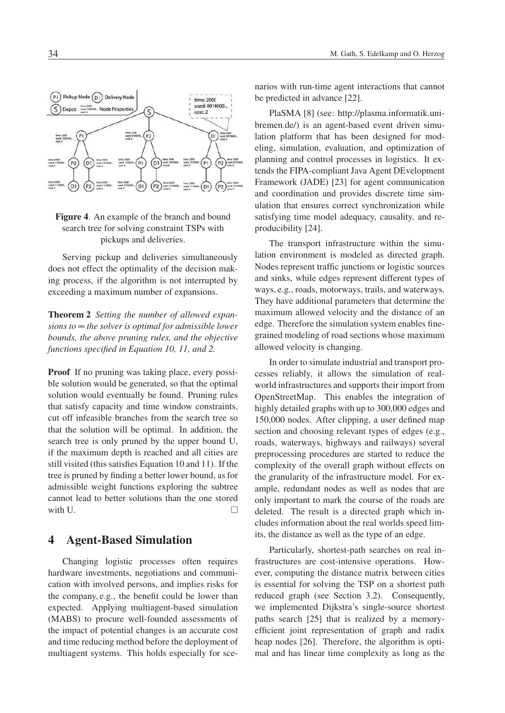

## Figure 4. An example of the branch and bound search tree for solving constraint TSPs with pickups and deliveries.

Serving pickup and deliveries simultaneously does not effect the optimality of the decision making process, if the algorithm is not interrupted by exceeding a maximum number of expansions.

Theorem 2 *Setting the number of allowed expansions to* ∞ *the solver is optimal for admissible lower bounds, the above pruning rules, and the objective functions specified in Equation 10, 11, and 2.*

**Proof** If no pruning was taking place, every possible solution would be generated, so that the optimal solution would eventually be found. Pruning rules that satisfy capacity and time window constraints, cut off infeasible branches from the search tree so that the solution will be optimal. In addition, the search tree is only pruned by the upper bound U, if the maximum depth is reached and all cities are still visited (this satisfies Equation 10 and 11). If the tree is pruned by finding a better lower bound, as for admissible weight functions exploring the subtree cannot lead to better solutions than the one stored with U.

## 4 Agent-Based Simulation

Changing logistic processes often requires hardware investments, negotiations and communication with involved persons, and implies risks for the company, e.g., the benefit could be lower than expected. Applying multiagent-based simulation (MABS) to procure well-founded assessments of the impact of potential changes is an accurate cost and time reducing method before the deployment of multiagent systems. This holds especially for sce-

narios with run-time agent interactions that cannot be predicted in advance [22].

PlaSMA [8] (see: http://plasma.informatik.unibremen.de/) is an agent-based event driven simulation platform that has been designed for modeling, simulation, evaluation, and optimization of planning and control processes in logistics. It extends the FIPA-compliant Java Agent DEvelopment Framework (JADE) [23] for agent communication and coordination and provides discrete time simulation that ensures correct synchronization while satisfying time model adequacy, causality, and reproducibility [24].

The transport infrastructure within the simulation environment is modeled as directed graph. Nodes represent traffic junctions or logistic sources and sinks, while edges represent different types of ways, e.g., roads, motorways, trails, and waterways. They have additional parameters that determine the maximum allowed velocity and the distance of an edge. Therefore the simulation system enables finegrained modeling of road sections whose maximum allowed velocity is changing.

In order to simulate industrial and transport processes reliably, it allows the simulation of realworld infrastructures and supports their import from OpenStreetMap. This enables the integration of highly detailed graphs with up to 300,000 edges and 150,000 nodes. After clipping, a user defined map section and choosing relevant types of edges (e.g., roads, waterways, highways and railways) several preprocessing procedures are started to reduce the complexity of the overall graph without effects on the granularity of the infrastructure model. For example, redundant nodes as well as nodes that are only important to mark the course of the roads are deleted. The result is a directed graph which includes information about the real worlds speed limits, the distance as well as the type of an edge.

Particularly, shortest-path searches on real infrastructures are cost-intensive operations. However, computing the distance matrix between cities is essential for solving the TSP on a shortest path reduced graph (see Section 3.2). Consequently, we implemented Dijkstra's single-source shortest paths search [25] that is realized by a memoryefficient joint representation of graph and radix heap nodes [26]. Therefore, the algorithm is optimal and has linear time complexity as long as the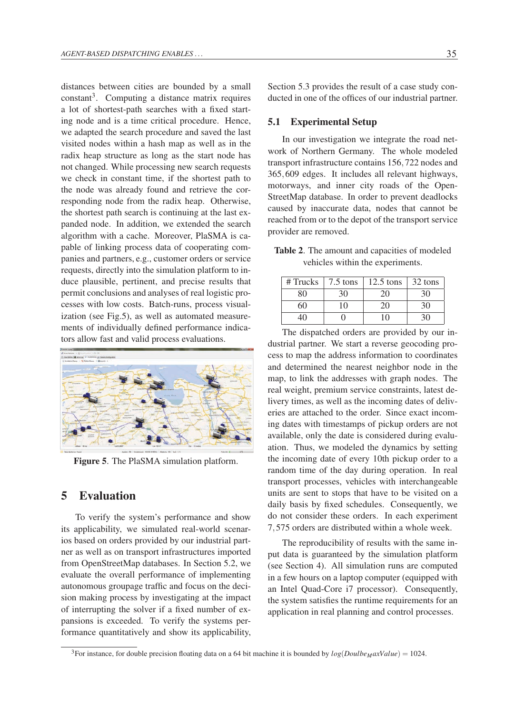distances between cities are bounded by a small  $constant<sup>3</sup>$ . Computing a distance matrix requires a lot of shortest-path searches with a fixed starting node and is a time critical procedure. Hence, we adapted the search procedure and saved the last visited nodes within a hash map as well as in the radix heap structure as long as the start node has not changed. While processing new search requests we check in constant time, if the shortest path to the node was already found and retrieve the corresponding node from the radix heap. Otherwise, the shortest path search is continuing at the last expanded node. In addition, we extended the search algorithm with a cache. Moreover, PlaSMA is capable of linking process data of cooperating companies and partners, e.g., customer orders or service requests, directly into the simulation platform to induce plausible, pertinent, and precise results that permit conclusions and analyses of real logistic processes with low costs. Batch-runs, process visualization (see Fig.5), as well as automated measurements of individually defined performance indicators allow fast and valid process evaluations.



Figure 5. The PlaSMA simulation platform.

# 5 Evaluation

To verify the system's performance and show its applicability, we simulated real-world scenarios based on orders provided by our industrial partner as well as on transport infrastructures imported from OpenStreetMap databases. In Section 5.2, we evaluate the overall performance of implementing autonomous groupage traffic and focus on the decision making process by investigating at the impact of interrupting the solver if a fixed number of expansions is exceeded. To verify the systems performance quantitatively and show its applicability,

Section 5.3 provides the result of a case study conducted in one of the offices of our industrial partner.

#### 5.1 Experimental Setup

In our investigation we integrate the road network of Northern Germany. The whole modeled transport infrastructure contains 156,722 nodes and 365,609 edges. It includes all relevant highways, motorways, and inner city roads of the Open-StreetMap database. In order to prevent deadlocks caused by inaccurate data, nodes that cannot be reached from or to the depot of the transport service provider are removed.

Table 2. The amount and capacities of modeled vehicles within the experiments.

|  | # Trucks $\vert$ 7.5 tons $\vert$ 12.5 tons $\vert$ 32 tons |  |
|--|-------------------------------------------------------------|--|
|  |                                                             |  |
|  | 20                                                          |  |
|  |                                                             |  |

The dispatched orders are provided by our industrial partner. We start a reverse geocoding process to map the address information to coordinates and determined the nearest neighbor node in the map, to link the addresses with graph nodes. The real weight, premium service constraints, latest delivery times, as well as the incoming dates of deliveries are attached to the order. Since exact incoming dates with timestamps of pickup orders are not available, only the date is considered during evaluation. Thus, we modeled the dynamics by setting the incoming date of every 10th pickup order to a random time of the day during operation. In real transport processes, vehicles with interchangeable units are sent to stops that have to be visited on a daily basis by fixed schedules. Consequently, we do not consider these orders. In each experiment 7,575 orders are distributed within a whole week.

The reproducibility of results with the same input data is guaranteed by the simulation platform (see Section 4). All simulation runs are computed in a few hours on a laptop computer (equipped with an Intel Quad-Core i7 processor). Consequently, the system satisfies the runtime requirements for an application in real planning and control processes.

<sup>&</sup>lt;sup>3</sup>For instance, for double precision floating data on a 64 bit machine it is bounded by  $log(DoulbeMaxValue) = 1024$ .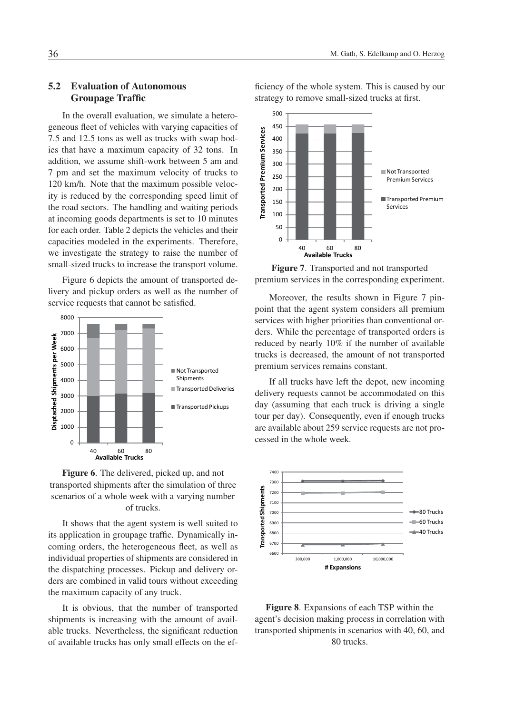## 5.2 Evaluation of Autonomous Groupage Traffic

In the overall evaluation, we simulate a heterogeneous fleet of vehicles with varying capacities of 7.5 and 12.5 tons as well as trucks with swap bodies that have a maximum capacity of 32 tons. In addition, we assume shift-work between 5 am and 7 pm and set the maximum velocity of trucks to 120 km/h. Note that the maximum possible velocity is reduced by the corresponding speed limit of the road sectors. The handling and waiting periods at incoming goods departments is set to 10 minutes for each order. Table 2 depicts the vehicles and their capacities modeled in the experiments. Therefore, we investigate the strategy to raise the number of small-sized trucks to increase the transport volume.

Figure 6 depicts the amount of transported delivery and pickup orders as well as the number of service requests that cannot be satisfied.





It shows that the agent system is well suited to its application in groupage traffic. Dynamically incoming orders, the heterogeneous fleet, as well as individual properties of shipments are considered in the dispatching processes. Pickup and delivery orders are combined in valid tours without exceeding the maximum capacity of any truck.

It is obvious, that the number of transported shipments is increasing with the amount of available trucks. Nevertheless, the significant reduction of available trucks has only small effects on the ef-

ficiency of the whole system. This is caused by our strategy to remove small-sized trucks at first.



Figure 7. Transported and not transported premium services in the corresponding experiment.

Moreover, the results shown in Figure 7 pinpoint that the agent system considers all premium services with higher priorities than conventional orders. While the percentage of transported orders is reduced by nearly 10% if the number of available trucks is decreased, the amount of not transported premium services remains constant.

If all trucks have left the depot, new incoming delivery requests cannot be accommodated on this day (assuming that each truck is driving a single tour per day). Consequently, even if enough trucks are available about 259 service requests are not processed in the whole week.



Figure 8. Expansions of each TSP within the agent's decision making process in correlation with transported shipments in scenarios with 40, 60, and 80 trucks.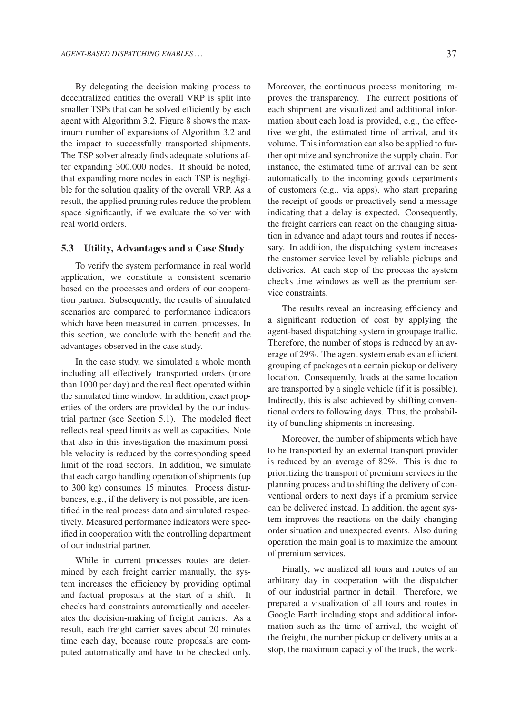By delegating the decision making process to decentralized entities the overall VRP is split into smaller TSPs that can be solved efficiently by each agent with Algorithm 3.2. Figure 8 shows the maximum number of expansions of Algorithm 3.2 and the impact to successfully transported shipments. The TSP solver already finds adequate solutions after expanding 300.000 nodes. It should be noted, that expanding more nodes in each TSP is negligible for the solution quality of the overall VRP. As a result, the applied pruning rules reduce the problem space significantly, if we evaluate the solver with real world orders.

#### 5.3 Utility, Advantages and a Case Study

To verify the system performance in real world application, we constitute a consistent scenario based on the processes and orders of our cooperation partner. Subsequently, the results of simulated scenarios are compared to performance indicators which have been measured in current processes. In this section, we conclude with the benefit and the advantages observed in the case study.

In the case study, we simulated a whole month including all effectively transported orders (more than 1000 per day) and the real fleet operated within the simulated time window. In addition, exact properties of the orders are provided by the our industrial partner (see Section 5.1). The modeled fleet reflects real speed limits as well as capacities. Note that also in this investigation the maximum possible velocity is reduced by the corresponding speed limit of the road sectors. In addition, we simulate that each cargo handling operation of shipments (up to 300 kg) consumes 15 minutes. Process disturbances, e.g., if the delivery is not possible, are identified in the real process data and simulated respectively. Measured performance indicators were specified in cooperation with the controlling department of our industrial partner.

While in current processes routes are determined by each freight carrier manually, the system increases the efficiency by providing optimal and factual proposals at the start of a shift. It checks hard constraints automatically and accelerates the decision-making of freight carriers. As a result, each freight carrier saves about 20 minutes time each day, because route proposals are computed automatically and have to be checked only.

Moreover, the continuous process monitoring improves the transparency. The current positions of each shipment are visualized and additional information about each load is provided, e.g., the effective weight, the estimated time of arrival, and its volume. This information can also be applied to further optimize and synchronize the supply chain. For instance, the estimated time of arrival can be sent automatically to the incoming goods departments of customers (e.g., via apps), who start preparing the receipt of goods or proactively send a message indicating that a delay is expected. Consequently, the freight carriers can react on the changing situation in advance and adapt tours and routes if necessary. In addition, the dispatching system increases the customer service level by reliable pickups and deliveries. At each step of the process the system checks time windows as well as the premium service constraints.

The results reveal an increasing efficiency and a significant reduction of cost by applying the agent-based dispatching system in groupage traffic. Therefore, the number of stops is reduced by an average of 29%. The agent system enables an efficient grouping of packages at a certain pickup or delivery location. Consequently, loads at the same location are transported by a single vehicle (if it is possible). Indirectly, this is also achieved by shifting conventional orders to following days. Thus, the probability of bundling shipments in increasing.

Moreover, the number of shipments which have to be transported by an external transport provider is reduced by an average of 82%. This is due to prioritizing the transport of premium services in the planning process and to shifting the delivery of conventional orders to next days if a premium service can be delivered instead. In addition, the agent system improves the reactions on the daily changing order situation and unexpected events. Also during operation the main goal is to maximize the amount of premium services.

Finally, we analized all tours and routes of an arbitrary day in cooperation with the dispatcher of our industrial partner in detail. Therefore, we prepared a visualization of all tours and routes in Google Earth including stops and additional information such as the time of arrival, the weight of the freight, the number pickup or delivery units at a stop, the maximum capacity of the truck, the work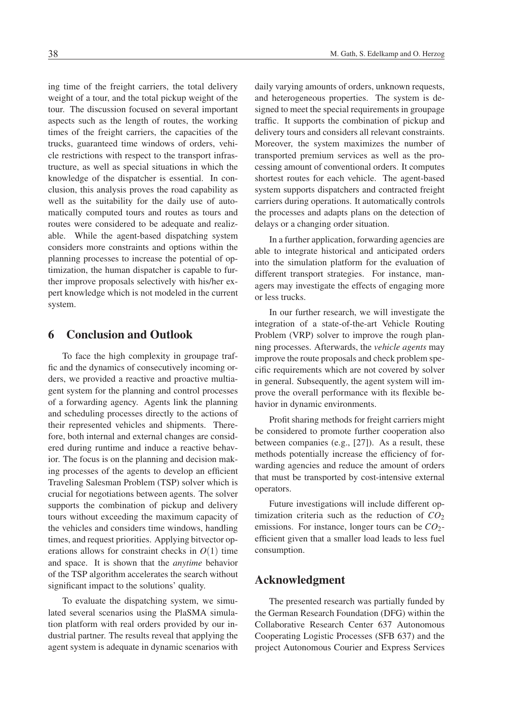ing time of the freight carriers, the total delivery weight of a tour, and the total pickup weight of the tour. The discussion focused on several important aspects such as the length of routes, the working times of the freight carriers, the capacities of the trucks, guaranteed time windows of orders, vehicle restrictions with respect to the transport infrastructure, as well as special situations in which the knowledge of the dispatcher is essential. In conclusion, this analysis proves the road capability as well as the suitability for the daily use of automatically computed tours and routes as tours and routes were considered to be adequate and realizable. While the agent-based dispatching system considers more constraints and options within the planning processes to increase the potential of optimization, the human dispatcher is capable to further improve proposals selectively with his/her expert knowledge which is not modeled in the current system.

# 6 Conclusion and Outlook

To face the high complexity in groupage traffic and the dynamics of consecutively incoming orders, we provided a reactive and proactive multiagent system for the planning and control processes of a forwarding agency. Agents link the planning and scheduling processes directly to the actions of their represented vehicles and shipments. Therefore, both internal and external changes are considered during runtime and induce a reactive behavior. The focus is on the planning and decision making processes of the agents to develop an efficient Traveling Salesman Problem (TSP) solver which is crucial for negotiations between agents. The solver supports the combination of pickup and delivery tours without exceeding the maximum capacity of the vehicles and considers time windows, handling times, and request priorities. Applying bitvector operations allows for constraint checks in  $O(1)$  time and space. It is shown that the *anytime* behavior of the TSP algorithm accelerates the search without significant impact to the solutions' quality.

To evaluate the dispatching system, we simulated several scenarios using the PlaSMA simulation platform with real orders provided by our industrial partner. The results reveal that applying the agent system is adequate in dynamic scenarios with

daily varying amounts of orders, unknown requests, and heterogeneous properties. The system is designed to meet the special requirements in groupage traffic. It supports the combination of pickup and delivery tours and considers all relevant constraints. Moreover, the system maximizes the number of transported premium services as well as the processing amount of conventional orders. It computes shortest routes for each vehicle. The agent-based system supports dispatchers and contracted freight carriers during operations. It automatically controls the processes and adapts plans on the detection of delays or a changing order situation.

In a further application, forwarding agencies are able to integrate historical and anticipated orders into the simulation platform for the evaluation of different transport strategies. For instance, managers may investigate the effects of engaging more or less trucks.

In our further research, we will investigate the integration of a state-of-the-art Vehicle Routing Problem (VRP) solver to improve the rough planning processes. Afterwards, the *vehicle agents* may improve the route proposals and check problem specific requirements which are not covered by solver in general. Subsequently, the agent system will improve the overall performance with its flexible behavior in dynamic environments.

Profit sharing methods for freight carriers might be considered to promote further cooperation also between companies (e.g., [27]). As a result, these methods potentially increase the efficiency of forwarding agencies and reduce the amount of orders that must be transported by cost-intensive external operators.

Future investigations will include different optimization criteria such as the reduction of  $CO<sub>2</sub>$ emissions. For instance, longer tours can be  $CO<sub>2</sub>$ efficient given that a smaller load leads to less fuel consumption.

## Acknowledgment

The presented research was partially funded by the German Research Foundation (DFG) within the Collaborative Research Center 637 Autonomous Cooperating Logistic Processes (SFB 637) and the project Autonomous Courier and Express Services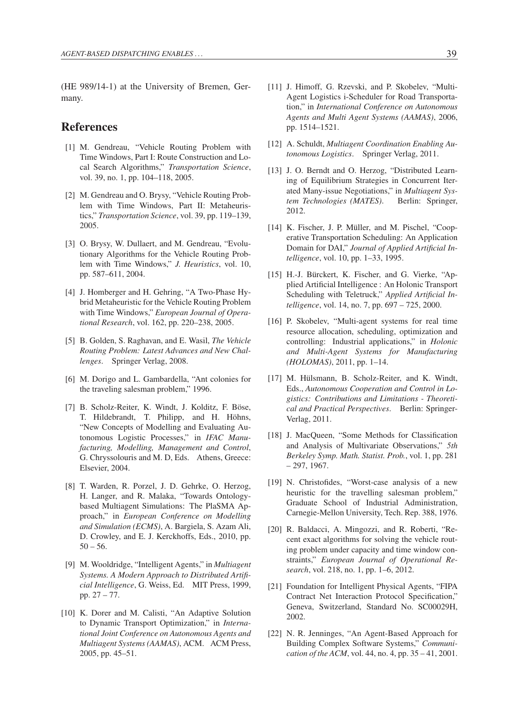(HE 989/14-1) at the University of Bremen, Germany.

# References

- [1] M. Gendreau, "Vehicle Routing Problem with Time Windows, Part I: Route Construction and Local Search Algorithms," *Transportation Science*, vol. 39, no. 1, pp. 104–118, 2005.
- [2] M. Gendreau and O. Brysy, "Vehicle Routing Problem with Time Windows, Part II: Metaheuristics," *Transportation Science*, vol. 39, pp. 119–139, 2005.
- [3] O. Brysy, W. Dullaert, and M. Gendreau, "Evolutionary Algorithms for the Vehicle Routing Problem with Time Windows," *J. Heuristics*, vol. 10, pp. 587–611, 2004.
- [4] J. Homberger and H. Gehring, "A Two-Phase Hybrid Metaheuristic for the Vehicle Routing Problem with Time Windows," *European Journal of Operational Research*, vol. 162, pp. 220–238, 2005.
- [5] B. Golden, S. Raghavan, and E. Wasil, *The Vehicle Routing Problem: Latest Advances and New Challenges*. Springer Verlag, 2008.
- [6] M. Dorigo and L. Gambardella, "Ant colonies for the traveling salesman problem," 1996.
- [7] B. Scholz-Reiter, K. Windt, J. Kolditz, F. Böse, T. Hildebrandt, T. Philipp, and H. Höhns, "New Concepts of Modelling and Evaluating Autonomous Logistic Processes," in *IFAC Manufacturing, Modelling, Management and Control*, G. Chryssolouris and M. D, Eds. Athens, Greece: Elsevier, 2004.
- [8] T. Warden, R. Porzel, J. D. Gehrke, O. Herzog, H. Langer, and R. Malaka, "Towards Ontologybased Multiagent Simulations: The PlaSMA Approach," in *European Conference on Modelling and Simulation (ECMS)*, A. Bargiela, S. Azam Ali, D. Crowley, and E. J. Kerckhoffs, Eds., 2010, pp.  $50 - 56.$
- [9] M. Wooldridge, "Intelligent Agents," in *Multiagent Systems. A Modern Approach to Distributed Artificial Intelligence*, G. Weiss, Ed. MIT Press, 1999, pp. 27 – 77.
- [10] K. Dorer and M. Calisti, "An Adaptive Solution to Dynamic Transport Optimization," in *International Joint Conference on Autonomous Agents and Multiagent Systems (AAMAS)*, ACM. ACM Press, 2005, pp. 45–51.
- [11] J. Himoff, G. Rzevski, and P. Skobelev, "Multi-Agent Logistics i-Scheduler for Road Transportation," in *International Conference on Autonomous Agents and Multi Agent Systems (AAMAS)*, 2006, pp. 1514–1521.
- [12] A. Schuldt, *Multiagent Coordination Enabling Autonomous Logistics*. Springer Verlag, 2011.
- [13] J. O. Berndt and O. Herzog, "Distributed Learning of Equilibrium Strategies in Concurrent Iterated Many-issue Negotiations," in *Multiagent System Technologies (MATES)*. Berlin: Springer, 2012.
- [14] K. Fischer, J. P. Müller, and M. Pischel, "Cooperative Transportation Scheduling: An Application Domain for DAI," *Journal of Applied Artificial Intelligence*, vol. 10, pp. 1–33, 1995.
- [15] H.-J. Bürckert, K. Fischer, and G. Vierke, "Applied Artificial Intelligence : An Holonic Transport Scheduling with Teletruck," *Applied Artificial Intelligence*, vol. 14, no. 7, pp. 697 – 725, 2000.
- [16] P. Skobelev, "Multi-agent systems for real time resource allocation, scheduling, optimization and controlling: Industrial applications," in *Holonic and Multi-Agent Systems for Manufacturing (HOLOMAS)*, 2011, pp. 1–14.
- [17] M. Hülsmann, B. Scholz-Reiter, and K. Windt, Eds., *Autonomous Cooperation and Control in Logistics: Contributions and Limitations - Theoretical and Practical Perspectives*. Berlin: Springer-Verlag, 2011.
- [18] J. MacQueen, "Some Methods for Classification and Analysis of Multivariate Observations," *5th Berkeley Symp. Math. Statist. Prob.*, vol. 1, pp. 281 – 297, 1967.
- [19] N. Christofides, "Worst-case analysis of a new heuristic for the travelling salesman problem," Graduate School of Industrial Administration, Carnegie-Mellon University, Tech. Rep. 388, 1976.
- [20] R. Baldacci, A. Mingozzi, and R. Roberti, "Recent exact algorithms for solving the vehicle routing problem under capacity and time window constraints," *European Journal of Operational Research*, vol. 218, no. 1, pp. 1–6, 2012.
- [21] Foundation for Intelligent Physical Agents, "FIPA Contract Net Interaction Protocol Specification," Geneva, Switzerland, Standard No. SC00029H, 2002.
- [22] N. R. Jenninges, "An Agent-Based Approach for Building Complex Software Systems," *Communication of the ACM*, vol. 44, no. 4, pp. 35 – 41, 2001.